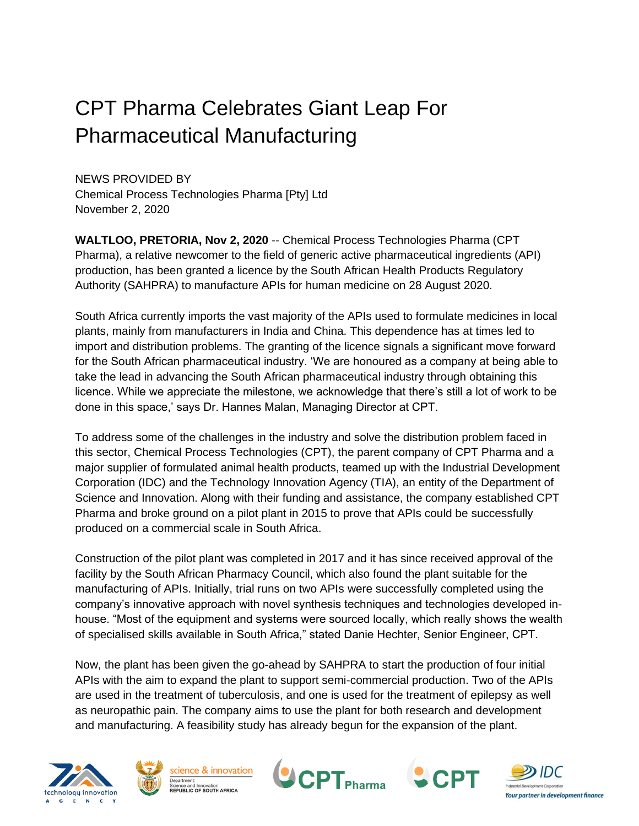# CPT Pharma Celebrates Giant Leap For Pharmaceutical Manufacturing

NEWS PROVIDED BY Chemical Process Technologies Pharma [Pty] Ltd November 2, 2020

**WALTLOO, PRETORIA, Nov 2, 2020** -- Chemical Process Technologies Pharma (CPT Pharma), a relative newcomer to the field of generic active pharmaceutical ingredients (API) production, has been granted a licence by the South African Health Products Regulatory Authority (SAHPRA) to manufacture APIs for human medicine on 28 August 2020.

South Africa currently imports the vast majority of the APIs used to formulate medicines in local plants, mainly from manufacturers in India and China. This dependence has at times led to import and distribution problems. The granting of the licence signals a significant move forward for the South African pharmaceutical industry. 'We are honoured as a company at being able to take the lead in advancing the South African pharmaceutical industry through obtaining this licence. While we appreciate the milestone, we acknowledge that there's still a lot of work to be done in this space,' says Dr. Hannes Malan, Managing Director at CPT.

To address some of the challenges in the industry and solve the distribution problem faced in this sector, Chemical Process Technologies (CPT), the parent company of CPT Pharma and a major supplier of formulated animal health products, teamed up with the Industrial Development Corporation (IDC) and the Technology Innovation Agency (TIA), an entity of the Department of Science and Innovation. Along with their funding and assistance, the company established CPT Pharma and broke ground on a pilot plant in 2015 to prove that APIs could be successfully produced on a commercial scale in South Africa.

Construction of the pilot plant was completed in 2017 and it has since received approval of the facility by the South African Pharmacy Council, which also found the plant suitable for the manufacturing of APIs. Initially, trial runs on two APIs were successfully completed using the company's innovative approach with novel synthesis techniques and technologies developed inhouse. "Most of the equipment and systems were sourced locally, which really shows the wealth of specialised skills available in South Africa," stated Danie Hechter, Senior Engineer, CPT.

Now, the plant has been given the go-ahead by SAHPRA to start the production of four initial APIs with the aim to expand the plant to support semi-commercial production. Two of the APIs are used in the treatment of tuberculosis, and one is used for the treatment of epilepsy as well as neuropathic pain. The company aims to use the plant for both research and development and manufacturing. A feasibility study has already begun for the expansion of the plant.









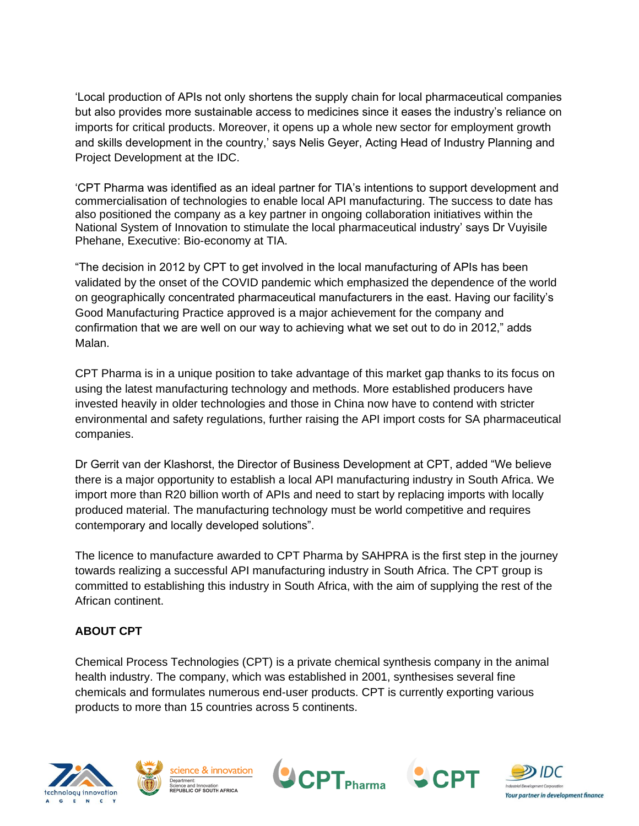'Local production of APIs not only shortens the supply chain for local pharmaceutical companies but also provides more sustainable access to medicines since it eases the industry's reliance on imports for critical products. Moreover, it opens up a whole new sector for employment growth and skills development in the country,' says Nelis Geyer, Acting Head of Industry Planning and Project Development at the IDC.

'CPT Pharma was identified as an ideal partner for TIA's intentions to support development and commercialisation of technologies to enable local API manufacturing. The success to date has also positioned the company as a key partner in ongoing collaboration initiatives within the National System of Innovation to stimulate the local pharmaceutical industry' says Dr Vuyisile Phehane, Executive: Bio-economy at TIA.

"The decision in 2012 by CPT to get involved in the local manufacturing of APIs has been validated by the onset of the COVID pandemic which emphasized the dependence of the world on geographically concentrated pharmaceutical manufacturers in the east. Having our facility's Good Manufacturing Practice approved is a major achievement for the company and confirmation that we are well on our way to achieving what we set out to do in 2012," adds Malan.

CPT Pharma is in a unique position to take advantage of this market gap thanks to its focus on using the latest manufacturing technology and methods. More established producers have invested heavily in older technologies and those in China now have to contend with stricter environmental and safety regulations, further raising the API import costs for SA pharmaceutical companies.

Dr Gerrit van der Klashorst, the Director of Business Development at CPT, added "We believe there is a major opportunity to establish a local API manufacturing industry in South Africa. We import more than R20 billion worth of APIs and need to start by replacing imports with locally produced material. The manufacturing technology must be world competitive and requires contemporary and locally developed solutions".

The licence to manufacture awarded to CPT Pharma by SAHPRA is the first step in the journey towards realizing a successful API manufacturing industry in South Africa. The CPT group is committed to establishing this industry in South Africa, with the aim of supplying the rest of the African continent.

# **ABOUT CPT**

Chemical Process Technologies (CPT) is a private chemical synthesis company in the animal health industry. The company, which was established in 2001, synthesises several fine chemicals and formulates numerous end-user products. CPT is currently exporting various products to more than 15 countries across 5 continents.









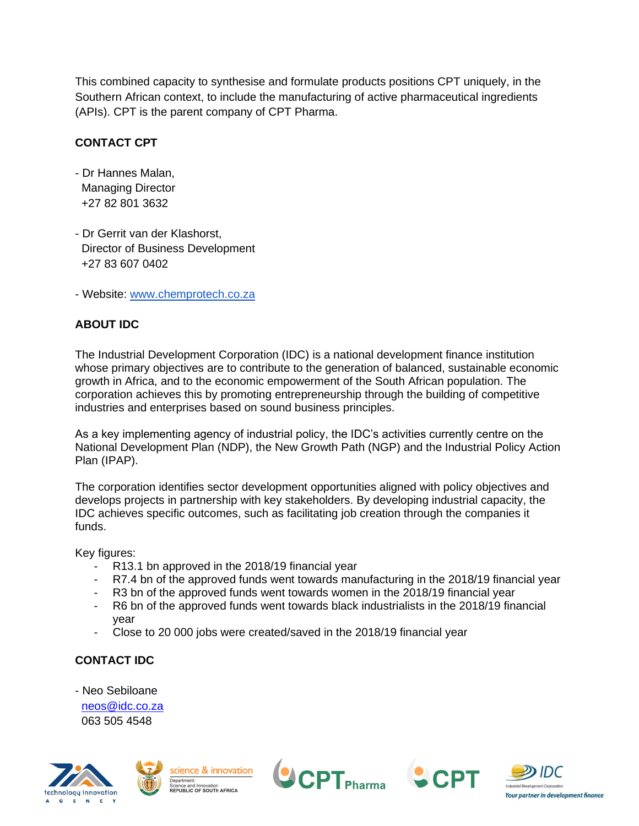This combined capacity to synthesise and formulate products positions CPT uniquely, in the Southern African context, to include the manufacturing of active pharmaceutical ingredients (APIs). CPT is the parent company of CPT Pharma.

## **CONTACT CPT**

- Dr Hannes Malan, Managing Director +27 82 801 3632
- Dr Gerrit van der Klashorst, Director of Business Development +27 83 607 0402
- Website: [www.chemprotech.co.za](http://www.chemprotech.co.za/)

# **ABOUT IDC**

The Industrial Development Corporation (IDC) is a national development finance institution whose primary objectives are to contribute to the generation of balanced, sustainable economic growth in Africa, and to the economic empowerment of the South African population. The corporation achieves this by promoting entrepreneurship through the building of competitive industries and enterprises based on sound business principles.

As a key implementing agency of industrial policy, the IDC's activities currently centre on the National Development Plan (NDP), the New Growth Path (NGP) and the Industrial Policy Action Plan (IPAP).

The corporation identifies sector development opportunities aligned with policy objectives and develops projects in partnership with key stakeholders. By developing industrial capacity, the IDC achieves specific outcomes, such as facilitating job creation through the companies it funds.

Key figures:

- R13.1 bn approved in the 2018/19 financial year
- R7.4 bn of the approved funds went towards manufacturing in the 2018/19 financial year
- R3 bn of the approved funds went towards women in the 2018/19 financial year
- R6 bn of the approved funds went towards black industrialists in the 2018/19 financial year
- Close to 20 000 jobs were created/saved in the 2018/19 financial year

## **CONTACT IDC**

- Neo Sebiloane

 [neos@idc.co.za](mailto:neos@idc.co.za) 063 505 4548